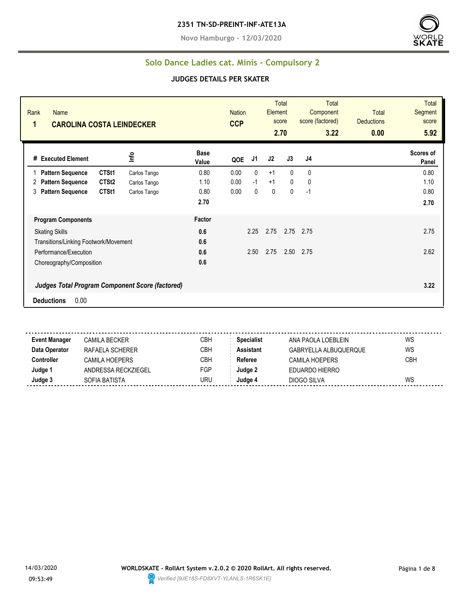**Novo Hamburgo - 12/03/2020**



#### **Solo Dance Ladies cat. Minis - Compulsory 2**

#### **JUDGES DETAILS PER SKATER**

| Rank<br>Name<br>1<br><b>CAROLINA COSTA LEINDECKER</b>                        |                      | <b>Nation</b><br><b>CCP</b> |      | Element      | Total<br>score<br>2.70 | <b>Total</b><br>Component<br>score (factored)<br>3.22 | <b>Total</b><br><b>Deductions</b><br>0.00 | <b>Total</b><br>Segment<br>score<br>5.92 |
|------------------------------------------------------------------------------|----------------------|-----------------------------|------|--------------|------------------------|-------------------------------------------------------|-------------------------------------------|------------------------------------------|
| Info<br># Executed Element                                                   | <b>Base</b><br>Value | QOE                         | J1   | J2           | J3                     | J4                                                    |                                           | Scores of<br>Panel                       |
| CTSt1<br><b>Pattern Sequence</b><br>Carlos Tango                             | 0.80                 | 0.00                        | 0    | $+1$         | $\mathbf{0}$           | 0                                                     |                                           | 0.80                                     |
| CTSt <sub>2</sub><br><b>Pattern Sequence</b><br>Carlos Tango<br>2            | 1.10                 | 0.00                        | $-1$ | $+1$         | $\mathbf{0}$           | 0                                                     |                                           | 1.10                                     |
| CTSt1<br><b>Pattern Sequence</b><br>3<br>Carlos Tango                        | 0.80                 | 0.00                        | 0    | $\mathbf{0}$ | 0                      | $-1$                                                  |                                           | 0.80                                     |
|                                                                              | 2.70                 |                             |      |              |                        |                                                       |                                           | 2.70                                     |
| <b>Program Components</b>                                                    | Factor               |                             |      |              |                        |                                                       |                                           |                                          |
| <b>Skating Skills</b>                                                        | 0.6                  |                             | 2.25 | 2.75         |                        | 2.75 2.75                                             |                                           | 2.75                                     |
| Transitions/Linking Footwork/Movement                                        | 0.6                  |                             |      |              |                        |                                                       |                                           |                                          |
| Performance/Execution                                                        | 0.6                  |                             | 2.50 | 2.75         |                        | 2.50 2.75                                             |                                           | 2.62                                     |
| Choreography/Composition                                                     | 0.6                  |                             |      |              |                        |                                                       |                                           |                                          |
| Judges Total Program Component Score (factored)<br>0.00<br><b>Deductions</b> |                      |                             |      |              |                        |                                                       |                                           | 3.22                                     |

**Event Manager** CAMILA BECKER CBH **Specialist** ANA PAOLA LOEBLEIN WS **Data Operator** RAFAELA SCHERER CBH **Assistant** GABRYELLA ALBUQUERQUE WS **Controller** CAMILA HOEPERS CBH **Referee** CAMILA HOEPERS CBH **Judge 1** ANDRESSA RECKZIEGEL FGP **Judge 2** EDUARDO HIERRO **Judge 3** SOFIA BATISTA URU **Judge 4** DIOGO SILVA WS

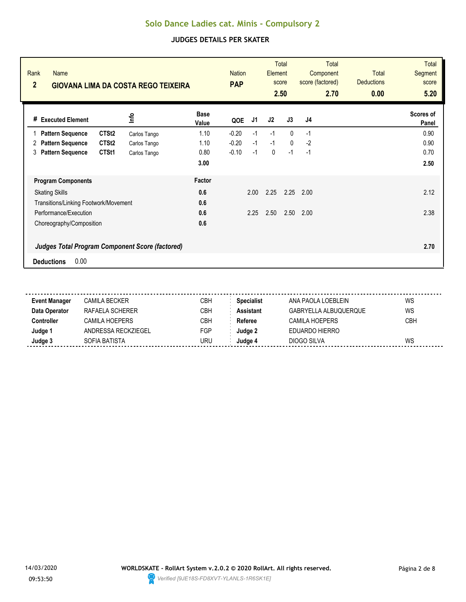| Rank<br><b>Name</b><br>$\overline{2}$<br><b>GIOVANA LIMA DA COSTA REGO TEIXEIRA</b> |                                                        |                      | <b>PAP</b> | <b>Nation</b> |      | <b>Total</b><br><b>Total</b><br>Element<br>Component<br>score (factored)<br>score<br>2.50<br>2.70 |      | <b>Total</b><br><b>Deductions</b><br>0.00 | Total<br><b>Segment</b><br>score<br>5.20 |
|-------------------------------------------------------------------------------------|--------------------------------------------------------|----------------------|------------|---------------|------|---------------------------------------------------------------------------------------------------|------|-------------------------------------------|------------------------------------------|
| # Executed Element                                                                  | ٩ų                                                     | <b>Base</b><br>Value | QOE        | J1            | J2   | J3                                                                                                | J4   |                                           | Scores of<br>Panel                       |
| <b>Pattern Sequence</b>                                                             | CTSt <sub>2</sub><br>Carlos Tango                      | 1.10                 | $-0.20$    | $-1$          | $-1$ | $\mathbf{0}$                                                                                      | $-1$ |                                           | 0.90                                     |
| <b>Pattern Sequence</b><br>2                                                        | CTSt <sub>2</sub><br>Carlos Tango                      | 1.10                 | $-0.20$    | $-1$          | $-1$ | $\mathbf{0}$                                                                                      | $-2$ |                                           | 0.90                                     |
| <b>Pattern Sequence</b><br>3                                                        | CTSt1<br>Carlos Tango                                  | 0.80                 | $-0.10$    | $-1$          | 0    | $-1$                                                                                              | $-1$ |                                           | 0.70                                     |
|                                                                                     |                                                        | 3.00                 |            |               |      |                                                                                                   |      |                                           | 2.50                                     |
| <b>Program Components</b>                                                           |                                                        | Factor               |            |               |      |                                                                                                   |      |                                           |                                          |
| <b>Skating Skills</b>                                                               |                                                        | 0.6                  |            | 2.00          | 2.25 | 2.25                                                                                              | 2.00 |                                           | 2.12                                     |
| Transitions/Linking Footwork/Movement                                               |                                                        | 0.6                  |            |               |      |                                                                                                   |      |                                           |                                          |
| Performance/Execution                                                               |                                                        | 0.6                  |            | 2.25          | 2.50 | 2.50                                                                                              | 2.00 |                                           | 2.38                                     |
| Choreography/Composition                                                            |                                                        | 0.6                  |            |               |      |                                                                                                   |      |                                           |                                          |
|                                                                                     | <b>Judges Total Program Component Score (factored)</b> |                      |            |               |      |                                                                                                   |      |                                           | 2.70                                     |
| 0.00<br><b>Deductions</b>                                                           |                                                        |                      |            |               |      |                                                                                                   |      |                                           |                                          |

| <b>Event Manager</b> | CAMILA BECKER       | CBH | <b>Specialist</b> | ANA PAOLA LOEBLEIN    | WS         |
|----------------------|---------------------|-----|-------------------|-----------------------|------------|
| Data Operator        | RAFAFI A SCHFRFR    | CBH | <b>Assistant</b>  | GABRYELLA ALBUQUERQUE | WS         |
| Controller           | CAMII A HOFPFRS     | CBH | Referee           | CAMILA HOEPERS        | <b>CBH</b> |
| Judge 1              | ANDRESSA RECKZIEGEL | FGP | Judge 2           | EDUARDO HIERRO        |            |
| Judge 3              | SOFIA BATISTA       | URU | Judae 4           | DIOGO SILVA           | WS         |
|                      |                     |     |                   |                       |            |

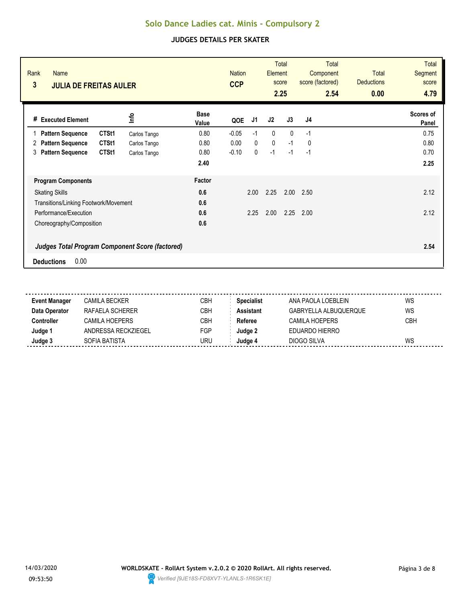| Rank<br><b>Name</b><br>3<br><b>JULIA DE FREITAS AULER</b> |              | <b>Nation</b><br><b>CCP</b> |              | Element      | <b>Total</b><br>score<br>2.25 | <b>Total</b><br>Component<br>score (factored)<br>2.54 | <b>Total</b><br><b>Deductions</b><br>0.00 | <b>Total</b><br><b>Segment</b><br>score<br>4.79 |
|-----------------------------------------------------------|--------------|-----------------------------|--------------|--------------|-------------------------------|-------------------------------------------------------|-------------------------------------------|-------------------------------------------------|
| # Executed Element                                        | lnfo         | <b>Base</b><br>QOE<br>Value | J1           | J2           | J3                            | J <sub>4</sub>                                        |                                           | Scores of<br>Panel                              |
| CTSt1<br><b>Pattern Sequence</b>                          | Carlos Tango | 0.80<br>$-0.05$             | $-1$         | $\mathbf{0}$ | $\mathbf{0}$                  | $-1$                                                  |                                           | 0.75                                            |
| <b>Pattern Sequence</b><br>CTSt1<br>2                     | Carlos Tango | 0.00<br>0.80                | $\mathbf{0}$ | $\mathbf 0$  | $-1$                          | 0                                                     |                                           | 0.80                                            |
| <b>Pattern Sequence</b><br>CTSt1<br>3                     | Carlos Tango | 0.80<br>$-0.10$             | 0            | $-1$         | $-1$                          | $-1$                                                  |                                           | 0.70                                            |
|                                                           |              | 2.40                        |              |              |                               |                                                       |                                           | 2.25                                            |
| <b>Program Components</b>                                 |              | Factor                      |              |              |                               |                                                       |                                           |                                                 |
| <b>Skating Skills</b>                                     |              | 0.6                         | 2.00         | 2.25         | 2.00                          | 2.50                                                  |                                           | 2.12                                            |
| Transitions/Linking Footwork/Movement                     |              | 0.6                         |              |              |                               |                                                       |                                           |                                                 |
| Performance/Execution                                     |              | 0.6                         | 2.25         | 2.00         | 2.25                          | 2.00                                                  |                                           | 2.12                                            |
| Choreography/Composition                                  |              | 0.6                         |              |              |                               |                                                       |                                           |                                                 |
| <b>Judges Total Program Component Score (factored)</b>    |              |                             |              |              |                               |                                                       |                                           | 2.54                                            |
| 0.00<br><b>Deductions</b>                                 |              |                             |              |              |                               |                                                       |                                           |                                                 |

| <b>Event Manager</b> | CAMILA BECKER       | CBH | <b>Specialist</b> | ANA PAOLA LOEBLEIN    | WS         |
|----------------------|---------------------|-----|-------------------|-----------------------|------------|
| Data Operator        | RAFAFI A SCHFRFR    | CBH | <b>Assistant</b>  | GABRYELLA ALBUQUERQUE | WS         |
| Controller           | CAMII A HOFPFRS     | CBH | Referee           | CAMILA HOEPERS        | <b>CBH</b> |
| Judge 1              | ANDRESSA RECKZIEGEL | FGP | Judge 2           | EDUARDO HIERRO        |            |
| Judge 3              | SOFIA BATISTA       | URU | Judae 4           | DIOGO SILVA           | WS         |
|                      |                     |     |                   |                       |            |

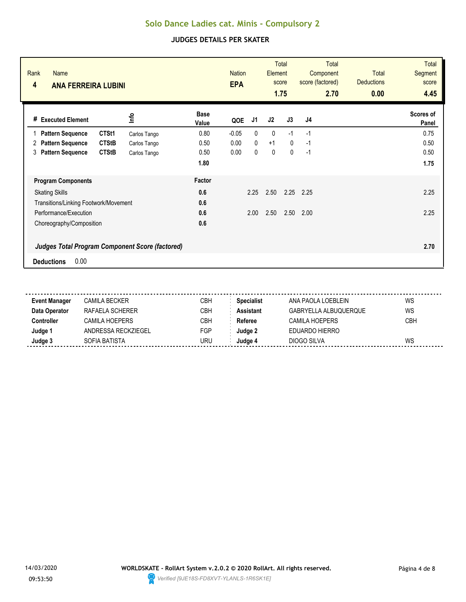|                                                                                     | J1                   |             |              |      | 4.45               |
|-------------------------------------------------------------------------------------|----------------------|-------------|--------------|------|--------------------|
| <b>Base</b><br><u>lnfo</u><br># Executed Element<br>Value                           | QOE                  | J2          | J3           | J4   | Scores of<br>Panel |
| CTSt1<br>0.80<br><b>Pattern Sequence</b><br>Carlos Tango                            | 0<br>$-0.05$         | 0           | $-1$         | $-1$ | 0.75               |
| <b>CTStB</b><br>0.50<br><b>Pattern Sequence</b><br>2<br>Carlos Tango                | $\mathbf{0}$<br>0.00 | $+1$        | $\mathbf{0}$ | $-1$ | 0.50               |
| <b>CTStB</b><br>0.50<br><b>Pattern Sequence</b><br>3<br>Carlos Tango                | 0.00<br>0            | $\mathbf 0$ | $\mathbf 0$  | $-1$ | 0.50               |
| 1.80                                                                                |                      |             |              |      | 1.75               |
| Factor<br><b>Program Components</b>                                                 |                      |             |              |      |                    |
| 0.6<br><b>Skating Skills</b>                                                        | 2.25                 | 2.50        | 2.25         | 2.25 | 2.25               |
| 0.6<br>Transitions/Linking Footwork/Movement                                        |                      |             |              |      |                    |
| Performance/Execution<br>0.6                                                        | 2.00                 | 2.50        | 2.50         | 2.00 | 2.25               |
| 0.6<br>Choreography/Composition                                                     |                      |             |              |      |                    |
| <b>Judges Total Program Component Score (factored)</b><br>0.00<br><b>Deductions</b> |                      |             |              |      | 2.70               |

| <b>Event Manager</b> | CAMILA BECKER       | CBH | <b>Specialist</b> | ANA PAOLA LOEBLEIN    | WS         |
|----------------------|---------------------|-----|-------------------|-----------------------|------------|
| Data Operator        | RAFAFI A SCHFRFR    | CBH | <b>Assistant</b>  | GABRYELLA ALBUQUERQUE | WS         |
| Controller           | CAMII A HOFPFRS     | CBH | Referee           | CAMILA HOEPERS        | <b>CBH</b> |
| Judge 1              | ANDRESSA RECKZIEGEL | FGP | Judge 2           | EDUARDO HIERRO        |            |
| Judge 3              | SOFIA BATISTA       | URU | Judae 4           | DIOGO SILVA           | WS         |
|                      |                     |     |                   |                       |            |

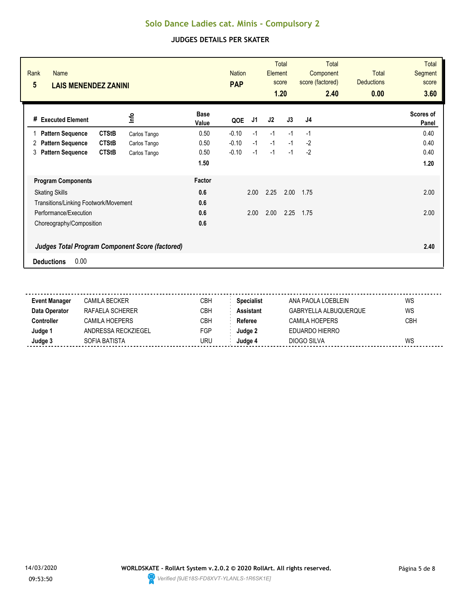| Rank<br><b>Name</b><br>$5\phantom{.0}$<br><b>LAIS MENENDEZ ZANINI</b> |              |                      | <b>Nation</b><br><b>PAP</b> |      | <b>Element</b> | <b>Total</b><br>score<br>1.20 | <b>Total</b><br>Component<br>score (factored)<br>2.40 | <b>Total</b><br><b>Deductions</b><br>0.00 | <b>Total</b><br>Segment<br>score<br>3.60 |
|-----------------------------------------------------------------------|--------------|----------------------|-----------------------------|------|----------------|-------------------------------|-------------------------------------------------------|-------------------------------------------|------------------------------------------|
| <b>Executed Element</b><br>#                                          | ٩ų           | <b>Base</b><br>Value | QOE                         | J1   | J2             | J3                            | J <sub>4</sub>                                        |                                           | Scores of<br>Panel                       |
| <b>CTStB</b><br><b>Pattern Sequence</b>                               | Carlos Tango | 0.50                 | $-0.10$                     | $-1$ | $-1$           | $-1$                          | $-1$                                                  |                                           | 0.40                                     |
| <b>CTStB</b><br><b>Pattern Sequence</b><br>2                          | Carlos Tango | 0.50                 | $-0.10$                     | $-1$ | $-1$           | $-1$                          | $-2$                                                  |                                           | 0.40                                     |
| <b>Pattern Sequence</b><br><b>CTStB</b><br>3                          | Carlos Tango | 0.50                 | $-0.10$                     | $-1$ | $-1$           | $-1$                          | $-2$                                                  |                                           | 0.40                                     |
|                                                                       |              | 1.50                 |                             |      |                |                               |                                                       |                                           | 1.20                                     |
| <b>Program Components</b>                                             |              | Factor               |                             |      |                |                               |                                                       |                                           |                                          |
| <b>Skating Skills</b>                                                 |              | 0.6                  |                             | 2.00 | 2.25           | 2.00                          | 1.75                                                  |                                           | 2.00                                     |
| Transitions/Linking Footwork/Movement                                 |              | 0.6                  |                             |      |                |                               |                                                       |                                           |                                          |
| Performance/Execution                                                 |              | 0.6                  |                             | 2.00 | 2.00           | 2.25                          | 1.75                                                  |                                           | 2.00                                     |
| Choreography/Composition                                              |              | 0.6                  |                             |      |                |                               |                                                       |                                           |                                          |
| <b>Judges Total Program Component Score (factored)</b>                |              |                      |                             |      |                |                               |                                                       |                                           | 2.40                                     |
| 0.00<br><b>Deductions</b>                                             |              |                      |                             |      |                |                               |                                                       |                                           |                                          |

| <b>Event Manager</b> | CAMILA BECKER       | <b>CBH</b> | <b>Specialist</b> | ANA PAOLA LOEBLEIN    | WS         |
|----------------------|---------------------|------------|-------------------|-----------------------|------------|
| Data Operator        | RAFAFI A SCHERFR    | CBH        | <b>Assistant</b>  | GABRYELLA ALBUQUERQUE | WS         |
| Controller           | CAMII A HOFPFRS     | <b>CBH</b> | Referee           | CAMILA HOEPERS        | <b>CBH</b> |
| Judge '              | ANDRESSA RECKZIEGEL | FGP        | Judae 2           | EDUARDO HIERRO        |            |
| Judge 3              | SOFIA BATISTA       | URU        | Judae 4           | DIOGO SILVA           | WS         |
|                      |                     |            |                   |                       |            |

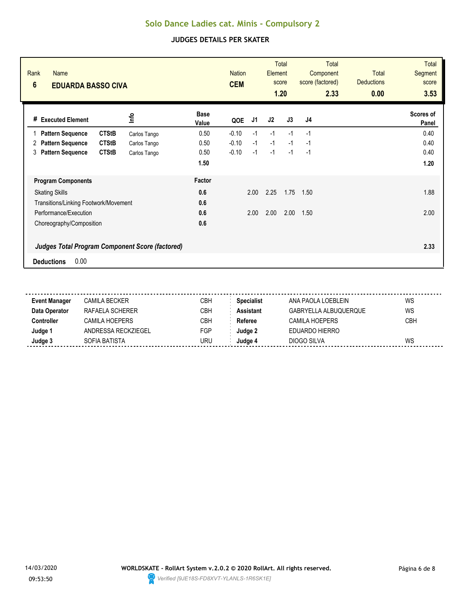| Rank<br><b>Name</b><br>$6\phantom{1}$<br><b>EDUARDA BASSO CIVA</b> |              |                      | <b>Nation</b><br><b>CEM</b> |      | Element | <b>Total</b><br>score<br>1.20 | Total<br>Component<br>score (factored)<br>2.33 | <b>Total</b><br><b>Deductions</b><br>0.00 | <b>Total</b><br><b>Segment</b><br>score<br>3.53 |
|--------------------------------------------------------------------|--------------|----------------------|-----------------------------|------|---------|-------------------------------|------------------------------------------------|-------------------------------------------|-------------------------------------------------|
| <b>Executed Element</b><br>#                                       | lnfo         | <b>Base</b><br>Value | QOE                         | J1   | J2      | J3                            | J4                                             |                                           | Scores of<br>Panel                              |
| <b>CTStB</b><br><b>Pattern Sequence</b>                            | Carlos Tango | 0.50                 | $-0.10$                     | $-1$ | $-1$    | $-1$                          | $-1$                                           |                                           | 0.40                                            |
| <b>CTStB</b><br><b>Pattern Sequence</b><br>2                       | Carlos Tango | 0.50                 | $-0.10$                     | $-1$ | $-1$    | $-1$                          | $-1$                                           |                                           | 0.40                                            |
| <b>Pattern Sequence</b><br><b>CTStB</b><br>3                       | Carlos Tango | 0.50                 | $-0.10$                     | $-1$ | $-1$    | $-1$                          | $-1$                                           |                                           | 0.40                                            |
|                                                                    |              | 1.50                 |                             |      |         |                               |                                                |                                           | 1.20                                            |
| <b>Program Components</b>                                          |              | Factor               |                             |      |         |                               |                                                |                                           |                                                 |
| <b>Skating Skills</b>                                              |              | 0.6                  |                             | 2.00 | 2.25    | 1.75                          | 1.50                                           |                                           | 1.88                                            |
| Transitions/Linking Footwork/Movement                              |              | 0.6                  |                             |      |         |                               |                                                |                                           |                                                 |
| Performance/Execution                                              |              | 0.6                  |                             | 2.00 | 2.00    | 2.00                          | 1.50                                           |                                           | 2.00                                            |
| Choreography/Composition                                           |              | 0.6                  |                             |      |         |                               |                                                |                                           |                                                 |
| <b>Judges Total Program Component Score (factored)</b>             |              |                      |                             |      |         |                               |                                                |                                           | 2.33                                            |
| 0.00<br><b>Deductions</b>                                          |              |                      |                             |      |         |                               |                                                |                                           |                                                 |

| <b>Event Manager</b> | CAMILA BECKER       | CBH | <b>Specialist</b> | ANA PAOLA LOEBLEIN    | WS         |
|----------------------|---------------------|-----|-------------------|-----------------------|------------|
| Data Operator        | RAFAFI A SCHFRFR    | CBH | <b>Assistant</b>  | GABRYELLA ALBUQUERQUE | WS         |
| Controller           | CAMII A HOFPFRS     | CBH | Referee           | CAMILA HOEPERS        | <b>CBH</b> |
| Judge 1              | ANDRESSA RECKZIEGEL | FGP | Judge 2           | EDUARDO HIERRO        |            |
| Judge 3              | SOFIA BATISTA       | URU | Judae 4           | DIOGO SILVA           | WS         |
|                      |                     |     |                   |                       |            |

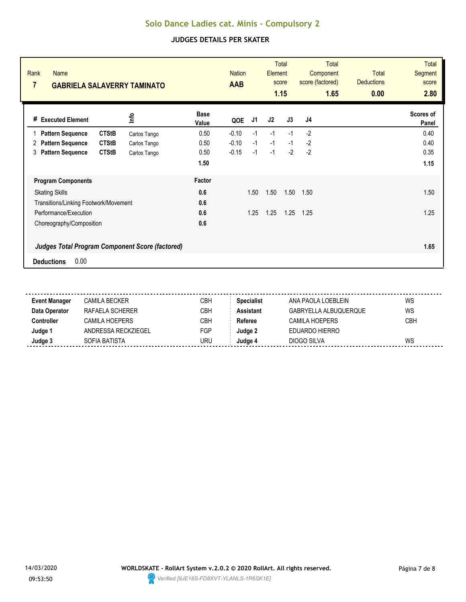| Rank<br><b>Name</b><br>7<br><b>GABRIELA SALAVERRY TAMINATO</b> |              |                      | <b>Nation</b><br><b>AAB</b> |      | Element<br>score | <b>Total</b><br>1.15 | Total<br>Component<br>score (factored)<br>1.65 | <b>Total</b><br><b>Deductions</b><br>0.00 | <b>Total</b><br>Segment<br>score<br>2.80 |
|----------------------------------------------------------------|--------------|----------------------|-----------------------------|------|------------------|----------------------|------------------------------------------------|-------------------------------------------|------------------------------------------|
| <b>Executed Element</b><br>#                                   | <u>nfo</u>   | <b>Base</b><br>Value | QOE                         | J1   | J2               | J3                   | J <sub>4</sub>                                 |                                           | Scores of<br>Panel                       |
| <b>CTStB</b><br><b>Pattern Sequence</b><br>1                   | Carlos Tango | 0.50                 | $-0.10$                     | $-1$ | $-1$             | $-1$                 | $-2$                                           |                                           | 0.40                                     |
| <b>Pattern Sequence</b><br><b>CTStB</b><br>2                   | Carlos Tango | 0.50                 | $-0.10$                     | $-1$ | $-1$             | $-1$                 | $-2$                                           |                                           | 0.40                                     |
| <b>Pattern Sequence</b><br><b>CTStB</b><br>3                   | Carlos Tango | 0.50                 | $-0.15$                     | $-1$ | $-1$             | $-2$                 | $-2$                                           |                                           | 0.35                                     |
|                                                                |              | 1.50                 |                             |      |                  |                      |                                                |                                           | 1.15                                     |
| <b>Program Components</b>                                      |              | <b>Factor</b>        |                             |      |                  |                      |                                                |                                           |                                          |
| <b>Skating Skills</b>                                          |              | 0.6                  |                             | 1.50 | 1.50             | 1.50                 | 1.50                                           |                                           | 1.50                                     |
| Transitions/Linking Footwork/Movement                          |              | 0.6                  |                             |      |                  |                      |                                                |                                           |                                          |
| Performance/Execution                                          |              | 0.6                  |                             | 1.25 | 1.25             | 1.25                 | 1.25                                           |                                           | 1.25                                     |
| Choreography/Composition                                       |              | 0.6                  |                             |      |                  |                      |                                                |                                           |                                          |
| <b>Judges Total Program Component Score (factored)</b>         |              |                      |                             |      |                  |                      |                                                |                                           | 1.65                                     |
| 0.00<br><b>Deductions</b>                                      |              |                      |                             |      |                  |                      |                                                |                                           |                                          |

| <b>Event Manager</b> | CAMILA BECKER       | CBH | <b>Specialist</b> | ANA PAOLA LOEBLEIN    | WS         |
|----------------------|---------------------|-----|-------------------|-----------------------|------------|
| Data Operator        | RAFAFI A SCHFRFR    | CBH | <b>Assistant</b>  | GABRYELLA ALBUQUERQUE | WS         |
| Controller           | CAMII A HOFPFRS     | CBH | Referee           | CAMILA HOEPERS        | <b>CBH</b> |
| Judge 1              | ANDRESSA RECKZIEGEL | FGP | Judge 2           | EDUARDO HIERRO        |            |
| Judge 3              | SOFIA BATISTA       | URU | Judae 4           | DIOGO SILVA           | WS         |
|                      |                     |     |                   |                       |            |